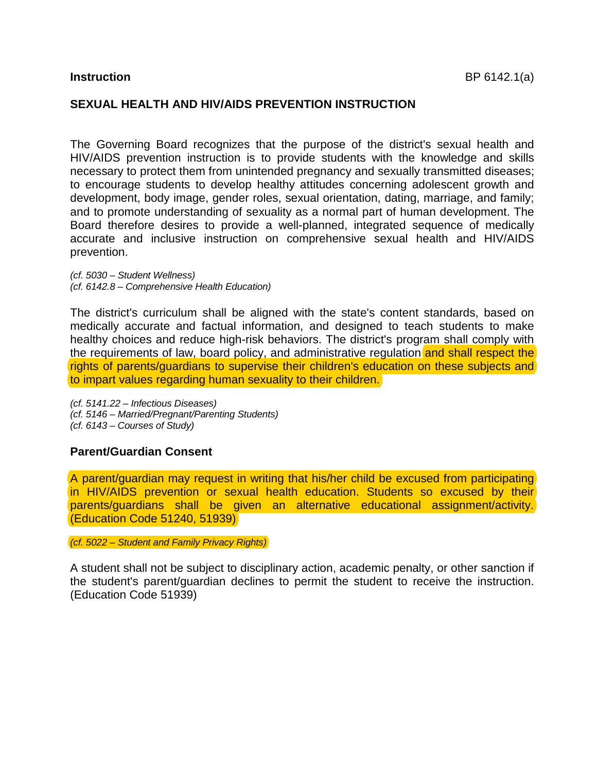## **SEXUAL HEALTH AND HIV/AIDS PREVENTION INSTRUCTION**

The Governing Board recognizes that the purpose of the district's sexual health and HIV/AIDS prevention instruction is to provide students with the knowledge and skills necessary to protect them from unintended pregnancy and sexually transmitted diseases; to encourage students to develop healthy attitudes concerning adolescent growth and development, body image, gender roles, sexual orientation, dating, marriage, and family; and to promote understanding of sexuality as a normal part of human development. The Board therefore desires to provide a well-planned, integrated sequence of medically accurate and inclusive instruction on comprehensive sexual health and HIV/AIDS prevention.

*(cf. 5030 – Student Wellness) (cf. 6142.8 – Comprehensive Health Education)* 

The district's curriculum shall be aligned with the state's content standards, based on medically accurate and factual information, and designed to teach students to make healthy choices and reduce high-risk behaviors. The district's program shall comply with the requirements of law, board policy, and administrative regulation and shall respect the rights of parents/guardians to supervise their children's education on these subjects and to impart values regarding human sexuality to their children.

*(cf. 5141.22 – Infectious Diseases) (cf. 5146 – Married/Pregnant/Parenting Students) (cf. 6143 – Courses of Study)* 

## **Parent/Guardian Consent**

A parent/guardian may request in writing that his/her child be excused from participating in HIV/AIDS prevention or sexual health education. Students so excused by their parents/guardians shall be given an alternative educational assignment/activity. (Education Code 51240, 51939)

*(cf. 5022 – Student and Family Privacy Rights)* 

A student shall not be subject to disciplinary action, academic penalty, or other sanction if the student's parent/guardian declines to permit the student to receive the instruction. (Education Code 51939)